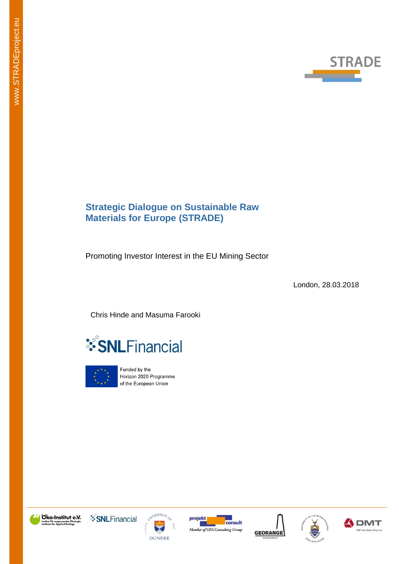

# **Strategic Dialogue on Sustainable Raw Materials for Europe (STRADE)**

Promoting Investor Interest in the EU Mining Sector

London, 28.03.2018

Chris Hinde and Masuma Farooki





Funded by the Horizon 2020 Programme of the European Union













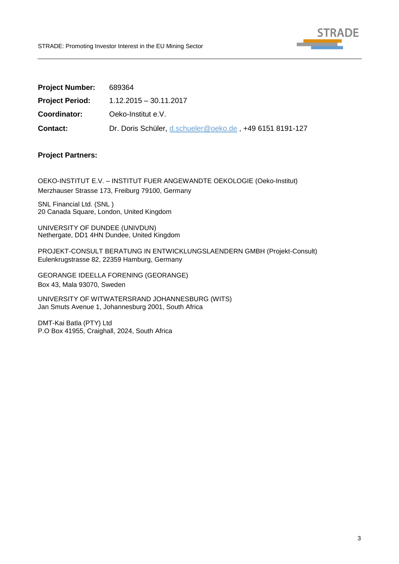

| <b>Project Number:</b> | 689364                                                   |
|------------------------|----------------------------------------------------------|
| <b>Project Period:</b> | 1.12.2015 - 30.11.2017                                   |
| Coordinator:           | Oeko-Institut e.V.                                       |
| <b>Contact:</b>        | Dr. Doris Schüler, d.schueler@oeko.de, +49 6151 8191-127 |

## **Project Partners:**

OEKO-INSTITUT E.V. – INSTITUT FUER ANGEWANDTE OEKOLOGIE (Oeko-Institut) Merzhauser Strasse 173, Freiburg 79100, Germany

SNL Financial Ltd. (SNL ) 20 Canada Square, London, United Kingdom

UNIVERSITY OF DUNDEE (UNIVDUN) Nethergate, DD1 4HN Dundee, United Kingdom

PROJEKT-CONSULT BERATUNG IN ENTWICKLUNGSLAENDERN GMBH (Projekt-Consult) Eulenkrugstrasse 82, 22359 Hamburg, Germany

GEORANGE IDEELLA FORENING (GEORANGE) Box 43, Mala 93070, Sweden

UNIVERSITY OF WITWATERSRAND JOHANNESBURG (WITS) Jan Smuts Avenue 1, Johannesburg 2001, South Africa

DMT-Kai Batla (PTY) Ltd P.O Box 41955, Craighall, 2024, South Africa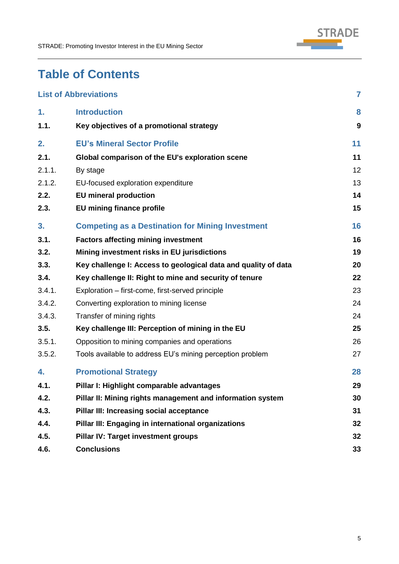

# **Table of Contents**

|        | <b>List of Abbreviations</b>                                   | $\overline{7}$ |
|--------|----------------------------------------------------------------|----------------|
| 1.     | <b>Introduction</b>                                            | 8              |
| 1.1.   | Key objectives of a promotional strategy                       | 9              |
| 2.     | <b>EU's Mineral Sector Profile</b>                             | 11             |
| 2.1.   | Global comparison of the EU's exploration scene                | 11             |
| 2.1.1. | By stage                                                       | 12             |
| 2.1.2. | EU-focused exploration expenditure                             | 13             |
| 2.2.   | <b>EU</b> mineral production                                   | 14             |
| 2.3.   | <b>EU mining finance profile</b>                               | 15             |
| 3.     | <b>Competing as a Destination for Mining Investment</b>        | 16             |
| 3.1.   | <b>Factors affecting mining investment</b>                     | 16             |
| 3.2.   | Mining investment risks in EU jurisdictions                    | 19             |
| 3.3.   | Key challenge I: Access to geological data and quality of data | 20             |
| 3.4.   | Key challenge II: Right to mine and security of tenure         | 22             |
| 3.4.1. | Exploration – first-come, first-served principle               | 23             |
| 3.4.2. | Converting exploration to mining license                       | 24             |
| 3.4.3. | Transfer of mining rights                                      | 24             |
| 3.5.   | Key challenge III: Perception of mining in the EU              | 25             |
| 3.5.1. | Opposition to mining companies and operations                  | 26             |
| 3.5.2. | Tools available to address EU's mining perception problem      | 27             |
| 4.     | <b>Promotional Strategy</b>                                    | 28             |
| 4.1.   | Pillar I: Highlight comparable advantages                      | 29             |
| 4.2.   | Pillar II: Mining rights management and information system     | 30             |
| 4.3.   | Pillar III: Increasing social acceptance                       | 31             |
| 4.4.   | Pillar III: Engaging in international organizations            | 32             |
| 4.5.   | <b>Pillar IV: Target investment groups</b>                     | 32             |
| 4.6.   | <b>Conclusions</b>                                             | 33             |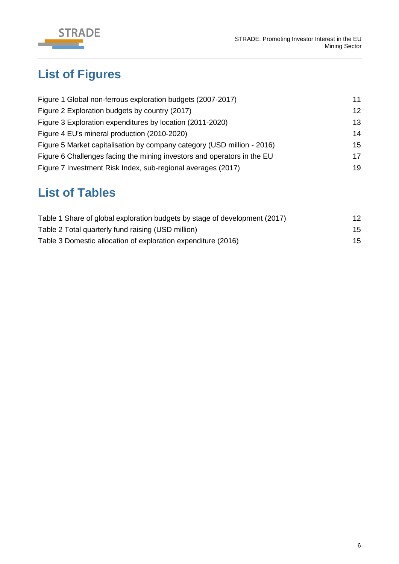

# **List of Figures**

| Figure 1 Global non-ferrous exploration budgets (2007-2017)             | 11 |
|-------------------------------------------------------------------------|----|
| Figure 2 Exploration budgets by country (2017)                          | 12 |
| Figure 3 Exploration expenditures by location (2011-2020)               | 13 |
| Figure 4 EU's mineral production (2010-2020)                            | 14 |
| Figure 5 Market capitalisation by company category (USD million - 2016) | 15 |
| Figure 6 Challenges facing the mining investors and operators in the EU | 17 |
| Figure 7 Investment Risk Index, sub-regional averages (2017)            | 19 |

# **List of Tables**

| Table 1 Share of global exploration budgets by stage of development (2017) | 12 |
|----------------------------------------------------------------------------|----|
| Table 2 Total quarterly fund raising (USD million)                         | 15 |
| Table 3 Domestic allocation of exploration expenditure (2016)              | 15 |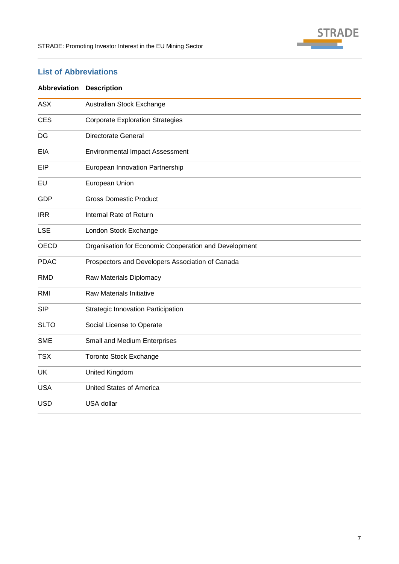

# <span id="page-6-0"></span>**List of Abbreviations**

| Abbreviation | <b>Description</b>                                    |
|--------------|-------------------------------------------------------|
| <b>ASX</b>   | Australian Stock Exchange                             |
| <b>CES</b>   | <b>Corporate Exploration Strategies</b>               |
| DG           | <b>Directorate General</b>                            |
| <b>EIA</b>   | <b>Environmental Impact Assessment</b>                |
| EIP          | European Innovation Partnership                       |
| EU           | European Union                                        |
| <b>GDP</b>   | <b>Gross Domestic Product</b>                         |
| <b>IRR</b>   | Internal Rate of Return                               |
| <b>LSE</b>   | London Stock Exchange                                 |
| <b>OECD</b>  | Organisation for Economic Cooperation and Development |
| <b>PDAC</b>  | Prospectors and Developers Association of Canada      |
| <b>RMD</b>   | Raw Materials Diplomacy                               |
| <b>RMI</b>   | Raw Materials Initiative                              |
| <b>SIP</b>   | Strategic Innovation Participation                    |
| <b>SLTO</b>  | Social License to Operate                             |
| <b>SME</b>   | Small and Medium Enterprises                          |
| <b>TSX</b>   | <b>Toronto Stock Exchange</b>                         |
| <b>UK</b>    | United Kingdom                                        |
| <b>USA</b>   | <b>United States of America</b>                       |
| <b>USD</b>   | USA dollar                                            |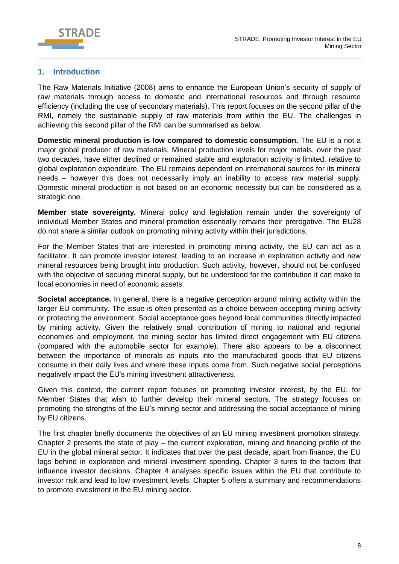

## <span id="page-7-0"></span>**1. Introduction**

The Raw Materials Initiative (2008) aims to enhance the European Union's security of supply of raw materials through access to domestic and international resources and through resource efficiency (including the use of secondary materials). This report focuses on the second pillar of the RMI, namely the sustainable supply of raw materials from within the EU. The challenges in achieving this second pillar of the RMI can be summarised as below.

**Domestic mineral production is low compared to domestic consumption.** The EU is a not a major global producer of raw materials. Mineral production levels for major metals, over the past two decades, have either declined or remained stable and exploration activity is limited, relative to global exploration expenditure. The EU remains dependent on international sources for its mineral needs – however this does not necessarily imply an inability to access raw material supply. Domestic mineral production is not based on an economic necessity but can be considered as a strategic one.

**Member state sovereignty.** Mineral policy and legislation remain under the sovereignty of individual Member States and mineral promotion essentially remains their prerogative. The EU28 do not share a similar outlook on promoting mining activity within their jurisdictions.

For the Member States that are interested in promoting mining activity, the EU can act as a facilitator. It can promote investor interest, leading to an increase in exploration activity and new mineral resources being brought into production. Such activity, however, should not be confused with the objective of securing mineral supply, but be understood for the contribution it can make to local economies in need of economic assets.

**Societal acceptance.** In general, there is a negative perception around mining activity within the larger EU community. The issue is often presented as a choice between accepting mining activity or protecting the environment. Social acceptance goes beyond local communities directly impacted by mining activity. Given the relatively small contribution of mining to national and regional economies and employment, the mining sector has limited direct engagement with EU citizens (compared with the automobile sector for example). There also appears to be a disconnect between the importance of minerals as inputs into the manufactured goods that EU citizens consume in their daily lives and where these inputs come from. Such negative social perceptions negatively impact the EU's mining investment attractiveness.

Given this context, the current report focuses on promoting investor interest, by the EU, for Member States that wish to further develop their mineral sectors. The strategy focuses on promoting the strengths of the EU's mining sector and addressing the social acceptance of mining by EU citizens.

The first chapter briefly documents the objectives of an EU mining investment promotion strategy. Chapter 2 presents the state of play – the current exploration, mining and financing profile of the EU in the global mineral sector. It indicates that over the past decade, apart from finance, the EU lags behind in exploration and mineral investment spending. Chapter 3 turns to the factors that influence investor decisions. Chapter 4 analyses specific issues within the EU that contribute to investor risk and lead to low investment levels. Chapter 5 offers a summary and recommendations to promote investment in the EU mining sector.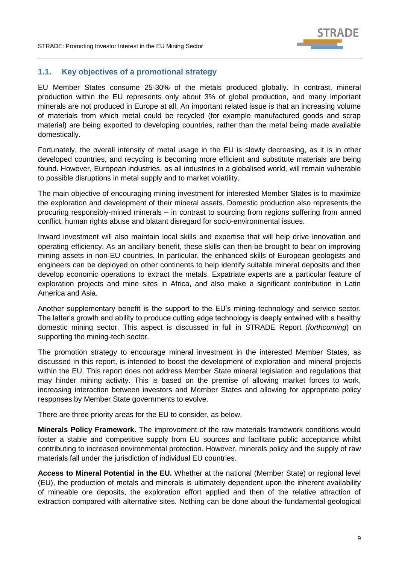

## <span id="page-8-0"></span>**1.1. Key objectives of a promotional strategy**

EU Member States consume 25-30% of the metals produced globally. In contrast, mineral production within the EU represents only about 3% of global production, and many important minerals are not produced in Europe at all. An important related issue is that an increasing volume of materials from which metal could be recycled (for example manufactured goods and scrap material) are being exported to developing countries, rather than the metal being made available domestically.

Fortunately, the overall intensity of metal usage in the EU is slowly decreasing, as it is in other developed countries, and recycling is becoming more efficient and substitute materials are being found. However, European industries, as all industries in a globalised world, will remain vulnerable to possible disruptions in metal supply and to market volatility.

The main objective of encouraging mining investment for interested Member States is to maximize the exploration and development of their mineral assets. Domestic production also represents the procuring responsibly-mined minerals – in contrast to sourcing from regions suffering from armed conflict, human rights abuse and blatant disregard for socio-environmental issues.

Inward investment will also maintain local skills and expertise that will help drive innovation and operating efficiency. As an ancillary benefit, these skills can then be brought to bear on improving mining assets in non-EU countries. In particular, the enhanced skills of European geologists and engineers can be deployed on other continents to help identify suitable mineral deposits and then develop economic operations to extract the metals. Expatriate experts are a particular feature of exploration projects and mine sites in Africa, and also make a significant contribution in Latin America and Asia.

Another supplementary benefit is the support to the EU's mining-technology and service sector. The latter's growth and ability to produce cutting edge technology is deeply entwined with a healthy domestic mining sector. This aspect is discussed in full in STRADE Report (*forthcoming*) on supporting the mining-tech sector.

The promotion strategy to encourage mineral investment in the interested Member States, as discussed in this report, is intended to boost the development of exploration and mineral projects within the EU. This report does not address Member State mineral legislation and regulations that may hinder mining activity. This is based on the premise of allowing market forces to work, increasing interaction between investors and Member States and allowing for appropriate policy responses by Member State governments to evolve.

There are three priority areas for the EU to consider, as below.

**Minerals Policy Framework.** The improvement of the raw materials framework conditions would foster a stable and competitive supply from EU sources and facilitate public acceptance whilst contributing to increased environmental protection. However, minerals policy and the supply of raw materials fall under the jurisdiction of individual EU countries.

**Access to Mineral Potential in the EU.** Whether at the national (Member State) or regional level (EU), the production of metals and minerals is ultimately dependent upon the inherent availability of mineable ore deposits, the exploration effort applied and then of the relative attraction of extraction compared with alternative sites. Nothing can be done about the fundamental geological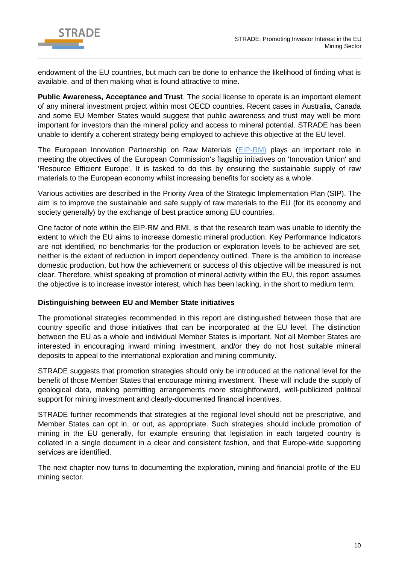

endowment of the EU countries, but much can be done to enhance the likelihood of finding what is available, and of then making what is found attractive to mine.

**Public Awareness, Acceptance and Trust**. The social license to operate is an important element of any mineral investment project within most OECD countries. Recent cases in Australia, Canada and some EU Member States would suggest that public awareness and trust may well be more important for investors than the mineral policy and access to mineral potential. STRADE has been unable to identify a coherent strategy being employed to achieve this objective at the EU level.

The European Innovation Partnership on Raw Materials [\(EIP-RM\)](https://ec.europa.eu/growth/tools-databases/eip-raw-materials/en/content/european-innovation-partnership-eip-raw-materials) plays an important role in meeting the objectives of the European Commission's flagship initiatives on 'Innovation Union' and 'Resource Efficient Europe'. It is tasked to do this by ensuring the sustainable supply of raw materials to the European economy whilst increasing benefits for society as a whole.

Various activities are described in the Priority Area of the Strategic Implementation Plan (SIP). The aim is to improve the sustainable and safe supply of raw materials to the EU (for its economy and society generally) by the exchange of best practice among EU countries.

One factor of note within the EIP-RM and RMI, is that the research team was unable to identify the extent to which the EU aims to increase domestic mineral production. Key Performance Indicators are not identified, no benchmarks for the production or exploration levels to be achieved are set, neither is the extent of reduction in import dependency outlined. There is the ambition to increase domestic production, but how the achievement or success of this objective will be measured is not clear. Therefore, whilst speaking of promotion of mineral activity within the EU, this report assumes the objective is to increase investor interest, which has been lacking, in the short to medium term.

#### **Distinguishing between EU and Member State initiatives**

The promotional strategies recommended in this report are distinguished between those that are country specific and those initiatives that can be incorporated at the EU level. The distinction between the EU as a whole and individual Member States is important. Not all Member States are interested in encouraging inward mining investment, and/or they do not host suitable mineral deposits to appeal to the international exploration and mining community.

STRADE suggests that promotion strategies should only be introduced at the national level for the benefit of those Member States that encourage mining investment. These will include the supply of geological data, making permitting arrangements more straightforward, well-publicized political support for mining investment and clearly-documented financial incentives.

STRADE further recommends that strategies at the regional level should not be prescriptive, and Member States can opt in, or out, as appropriate. Such strategies should include promotion of mining in the EU generally, for example ensuring that legislation in each targeted country is collated in a single document in a clear and consistent fashion, and that Europe-wide supporting services are identified.

The next chapter now turns to documenting the exploration, mining and financial profile of the EU mining sector.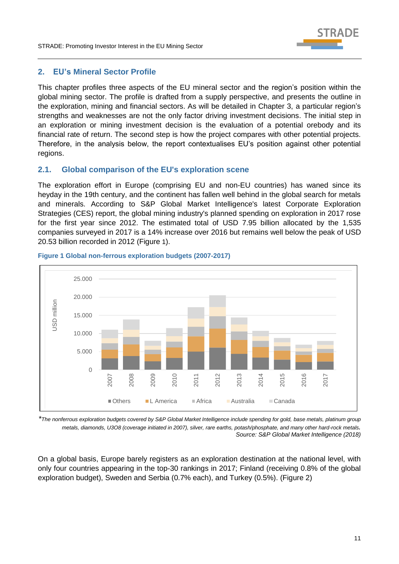

## <span id="page-10-0"></span>**2. EU's Mineral Sector Profile**

This chapter profiles three aspects of the EU mineral sector and the region's position within the global mining sector. The profile is drafted from a supply perspective, and presents the outline in the exploration, mining and financial sectors. As will be detailed in Chapter 3, a particular region's strengths and weaknesses are not the only factor driving investment decisions. The initial step in an exploration or mining investment decision is the evaluation of a potential orebody and its financial rate of return. The second step is how the project compares with other potential projects. Therefore, in the analysis below, the report contextualises EU's position against other potential regions.

## <span id="page-10-1"></span>**2.1. Global comparison of the EU's exploration scene**

The exploration effort in Europe (comprising EU and non-EU countries) has waned since its heyday in the 19th century, and the continent has fallen well behind in the global search for metals and minerals. According to S&P Global Market Intelligence's latest Corporate Exploration Strategies (CES) report, the global mining industry's planned spending on exploration in 2017 rose for the first year since 2012. The estimated total of USD 7.95 billion allocated by the 1,535 companies surveyed in 2017 is a 14% increase over 2016 but remains well below the peak of USD 20.53 billion recorded in 2012 (Figure 1).



#### **Figure 1 Global non-ferrous exploration budgets (2007-2017)**

*\*The nonferrous exploration budgets covered by S&P Global Market Intelligence include spending for gold, base metals, platinum group metals, diamonds, U3O8 (coverage initiated in 2007), silver, rare earths, potash/phosphate, and many other hard-rock metals. Source: S&P Global Market Intelligence (2018)*

On a global basis, Europe barely registers as an exploration destination at the national level, with only four countries appearing in the top-30 rankings in 2017; Finland (receiving 0.8% of the global exploration budget), Sweden and Serbia (0.7% each), and Turkey (0.5%). (Figure 2)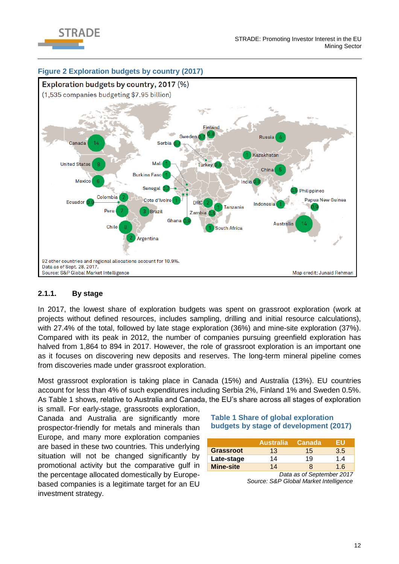



## <span id="page-11-0"></span>**2.1.1. By stage**

In 2017, the lowest share of exploration budgets was spent on grassroot exploration (work at projects without defined resources, includes sampling, drilling and initial resource calculations), with 27.4% of the total, followed by late stage exploration (36%) and mine-site exploration (37%). Compared with its peak in 2012, the number of companies pursuing greenfield exploration has halved from 1,864 to 894 in 2017. However, the role of grassroot exploration is an important one as it focuses on discovering new deposits and reserves. The long-term mineral pipeline comes from discoveries made under grassroot exploration.

Most grassroot exploration is taking place in Canada (15%) and Australia (13%). EU countries account for less than 4% of such expenditures including Serbia 2%, Finland 1% and Sweden 0.5%. As Table 1 shows, relative to Australia and Canada, the EU's share across all stages of exploration is small. For early-stage, grassroots exploration,

Canada and Australia are significantly more prospector-friendly for metals and minerals than Europe, and many more exploration companies are based in these two countries*.* This underlying situation will not be changed significantly by promotional activity but the comparative gulf in the percentage allocated domestically by Europebased companies is a legitimate target for an EU investment strategy.

#### **Table 1 Share of global exploration budgets by stage of development (2017)**

|                  | <b>Australia</b> | <b>Canada</b> | 5 I I |
|------------------|------------------|---------------|-------|
| Grassroot        | $13 \,$          | 15            | 3.5   |
| Late-stage       | 14               | 19            | 1.4   |
| <b>Mine-site</b> | 14               |               | 1 6   |

*Data as of September 2017 Source: S&P Global Market Intelligence*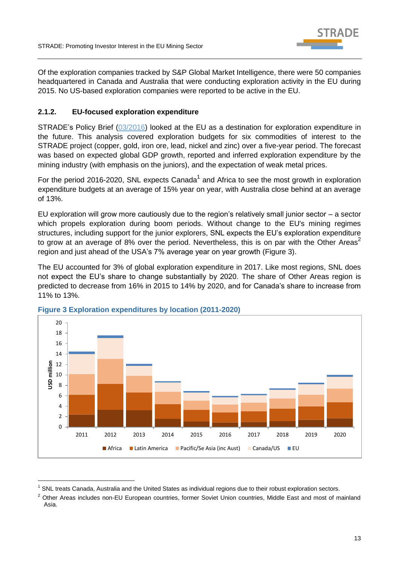

Of the exploration companies tracked by S&P Global Market Intelligence, there were 50 companies headquartered in Canada and Australia that were conducting exploration activity in the EU during 2015. No US-based exploration companies were reported to be active in the EU.

## <span id="page-12-0"></span>**2.1.2. EU-focused exploration expenditure**

STRADE's Policy Brief [\(03/2016\)](http://stradeproject.eu/fileadmin/user_upload/pdf/PolicyBrief_03-2016_Aug2016_FINAL.pdf) looked at the EU as a destination for exploration expenditure in the future. This analysis covered exploration budgets for six commodities of interest to the STRADE project (copper, gold, iron ore, lead, nickel and zinc) over a five-year period. The forecast was based on expected global GDP growth, reported and inferred exploration expenditure by the mining industry (with emphasis on the juniors), and the expectation of weak metal prices.

For the period 2016-2020, SNL expects Canada<sup>1</sup> and Africa to see the most growth in exploration expenditure budgets at an average of 15% year on year, with Australia close behind at an average of 13%.

EU exploration will grow more cautiously due to the region's relatively small junior sector – a sector which propels exploration during boom periods. Without change to the EU's mining regimes structures, including support for the junior explorers, SNL expects the EU's exploration expenditure to grow at an average of 8% over the period. Nevertheless, this is on par with the Other Areas<sup>2</sup> region and just ahead of the USA's 7% average year on year growth (Figure 3).

The EU accounted for 3% of global exploration expenditure in 2017. Like most regions, SNL does not expect the EU's share to change substantially by 2020. The share of Other Areas region is predicted to decrease from 16% in 2015 to 14% by 2020, and for Canada's share to increase from 11% to 13%.



#### **Figure 3 Exploration expenditures by location (2011-2020)**

-

<sup>2</sup> Other Areas includes non-EU European countries, former Soviet Union countries, Middle East and most of mainland Asia.

<sup>1</sup> SNL treats Canada, Australia and the United States as individual regions due to their robust exploration sectors.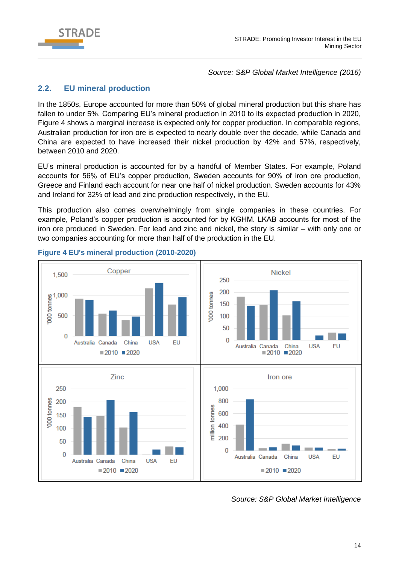

*Source: S&P Global Market Intelligence (2016)*

# <span id="page-13-0"></span>**2.2. EU mineral production**

In the 1850s, Europe accounted for more than 50% of global mineral production but this share has fallen to under 5%. Comparing EU's mineral production in 2010 to its expected production in 2020, Figure 4 shows a marginal increase is expected only for copper production. In comparable regions, Australian production for iron ore is expected to nearly double over the decade, while Canada and China are expected to have increased their nickel production by 42% and 57%, respectively, between 2010 and 2020.

EU's mineral production is accounted for by a handful of Member States. For example, Poland accounts for 56% of EU's copper production, Sweden accounts for 90% of iron ore production, Greece and Finland each account for near one half of nickel production. Sweden accounts for 43% and Ireland for 32% of lead and zinc production respectively, in the EU.

This production also comes overwhelmingly from single companies in these countries. For example, Poland's copper production is accounted for by KGHM. LKAB accounts for most of the iron ore produced in Sweden. For lead and zinc and nickel, the story is similar – with only one or two companies accounting for more than half of the production in the EU.



## **Figure 4 EU's mineral production (2010-2020)**

*Source: S&P Global Market Intelligence*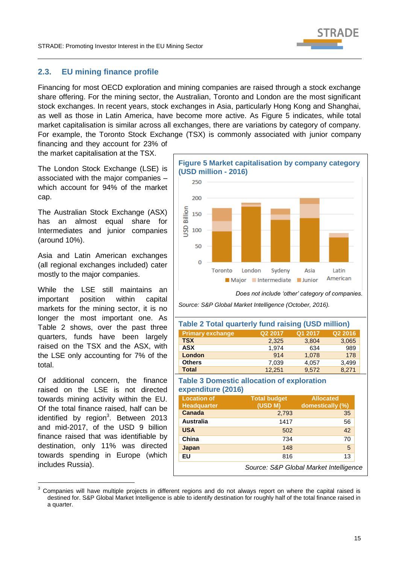

## <span id="page-14-0"></span>**2.3. EU mining finance profile**

Financing for most OECD exploration and mining companies are raised through a stock exchange share offering. For the mining sector, the Australian, Toronto and London are the most significant stock exchanges. In recent years, stock exchanges in Asia, particularly Hong Kong and Shanghai, as well as those in Latin America, have become more active. As Figure 5 indicates, while total market capitalisation is similar across all exchanges, there are variations by category of company. For example, the Toronto Stock Exchange (TSX) is commonly associated with junior company

financing and they account for 23% of the market capitalisation at the TSX.

The London Stock Exchange (LSE) is associated with the major companies – which account for 94% of the market cap.

The Australian Stock Exchange (ASX) has an almost equal share for Intermediates and junior companies (around 10%).

Asia and Latin American exchanges (all regional exchanges included) cater mostly to the major companies.

While the LSE still maintains an important position within capital markets for the mining sector, it is no longer the most important one. As Table 2 shows, over the past three quarters, funds have been largely raised on the TSX and the ASX, with the LSE only accounting for 7% of the total.

Of additional concern, the finance raised on the LSE is not directed towards mining activity within the EU. Of the total finance raised, half can be identified by region<sup>3</sup>. Between 2013 and mid-2017, of the USD 9 billion finance raised that was identifiable by destination, only 11% was directed towards spending in Europe (which includes Russia).

-



*Does not include 'other' category of companies.* 

*Source: S&P Global Market Intelligence (October, 2016).*

| <b>Table 2 Total quarterly fund raising (USD million)</b> |         |         |         |
|-----------------------------------------------------------|---------|---------|---------|
| <b>Primary exchange</b>                                   | Q2 2017 | Q1 2017 | Q2 2016 |
| <b>TSX</b>                                                | 2,325   | 3,804   | 3,065   |
| <b>ASX</b>                                                | 1,974   | 634     | 989     |
| <b>London</b>                                             | 914     | 1,078   | 178     |
| <b>Others</b>                                             | 7,039   | 4,057   | 3.499   |
| <b>Total</b>                                              | 12.251  | 9.572   | 8.271   |

#### **Table 3 Domestic allocation of exploration expenditure (2016)**

| <b>Location of</b><br>Headquarter | <b>Total budget</b><br>(USD M)         | <b>Allocated</b><br>domestically (%) |  |
|-----------------------------------|----------------------------------------|--------------------------------------|--|
| Canada                            | 2,793                                  | 35                                   |  |
| Australia                         | 1417                                   | 56                                   |  |
| <b>USA</b>                        | 502                                    | 42                                   |  |
| China                             | 734                                    | 70                                   |  |
| Japan                             | 148                                    | 5                                    |  |
| EU                                | 816                                    | 13                                   |  |
|                                   | Source: S&P Global Market Intelligence |                                      |  |

<sup>3</sup> Companies will have multiple projects in different regions and do not always report on where the capital raised is destined for. S&P Global Market Intelligence is able to identify destination for roughly half of the total finance raised in a quarter.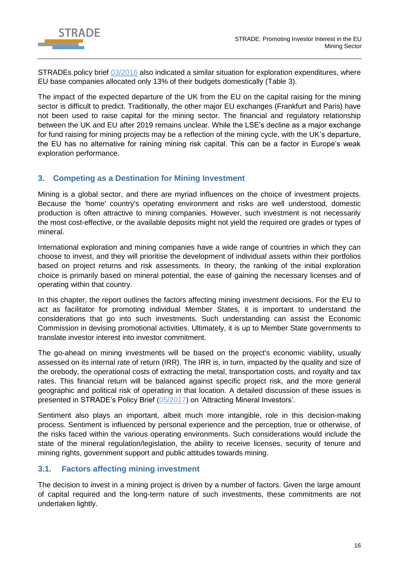

STRADEs policy brief [03/2016](http://stradeproject.eu/fileadmin/user_upload/pdf/PolicyBrief_03-2016_Aug2016_FINAL.pdf) also indicated a similar situation for exploration expenditures, where EU base companies allocated only 13% of their budgets domestically (Table 3).

The impact of the expected departure of the UK from the EU on the capital raising for the mining sector is difficult to predict. Traditionally, the other major EU exchanges (Frankfurt and Paris) have not been used to raise capital for the mining sector. The financial and regulatory relationship between the UK and EU after 2019 remains unclear. While the LSE's decline as a major exchange for fund raising for mining projects may be a reflection of the mining cycle, with the UK's departure, the EU has no alternative for raining mining risk capital. This can be a factor in Europe's weak exploration performance.

# <span id="page-15-0"></span>**3. Competing as a Destination for Mining Investment**

Mining is a global sector, and there are myriad influences on the choice of investment projects. Because the 'home' country's operating environment and risks are well understood, domestic production is often attractive to mining companies. However, such investment is not necessarily the most cost-effective, or the available deposits might not yield the required ore grades or types of mineral.

International exploration and mining companies have a wide range of countries in which they can choose to invest, and they will prioritise the development of individual assets within their portfolios based on project returns and risk assessments. In theory, the ranking of the initial exploration choice is primarily based on mineral potential, the ease of gaining the necessary licenses and of operating within that country.

In this chapter, the report outlines the factors affecting mining investment decisions. For the EU to act as facilitator for promoting individual Member States, it is important to understand the considerations that go into such investments. Such understanding can assist the Economic Commission in devising promotional activities. Ultimately, it is up to Member State governments to translate investor interest into investor commitment.

The go-ahead on mining investments will be based on the project's economic viability, usually assessed on its internal rate of return (IRR). The IRR is, in turn, impacted by the quality and size of the orebody, the operational costs of extracting the metal, transportation costs, and royalty and tax rates. This financial return will be balanced against specific project risk, and the more general geographic and political risk of operating in that location. A detailed discussion of these issues is presented in STRADE's Policy Brief [\(05/2017\)](http://stradeproject.eu/fileadmin/user_upload/pdf/STRADE_PB05-2017_D2-5_AttractMinInvestors-FundamentalsInvestDecisions_May2017_FINAL.pdf) on 'Attracting Mineral Investors'.

Sentiment also plays an important, albeit much more intangible, role in this decision-making process. Sentiment is influenced by personal experience and the perception, true or otherwise, of the risks faced within the various operating environments. Such considerations would include the state of the mineral regulation/legislation, the ability to receive licenses, security of tenure and mining rights, government support and public attitudes towards mining.

# <span id="page-15-1"></span>**3.1. Factors affecting mining investment**

The decision to invest in a mining project is driven by a number of factors. Given the large amount of capital required and the long-term nature of such investments, these commitments are not undertaken lightly.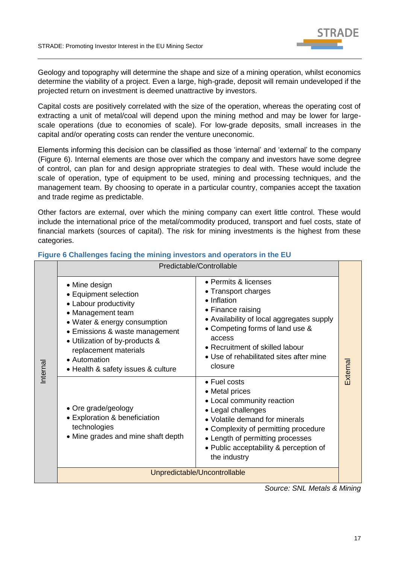

Geology and topography will determine the shape and size of a mining operation, whilst economics determine the viability of a project. Even a large, high-grade, deposit will remain undeveloped if the projected return on investment is deemed unattractive by investors.

Capital costs are positively correlated with the size of the operation, whereas the operating cost of extracting a unit of metal/coal will depend upon the mining method and may be lower for largescale operations (due to economies of scale). For low-grade deposits, small increases in the capital and/or operating costs can render the venture uneconomic.

Elements informing this decision can be classified as those 'internal' and 'external' to the company (Figure 6). Internal elements are those over which the company and investors have some degree of control, can plan for and design appropriate strategies to deal with. These would include the scale of operation, type of equipment to be used, mining and processing techniques, and the management team. By choosing to operate in a particular country, companies accept the taxation and trade regime as predictable.

Other factors are external, over which the mining company can exert little control. These would include the international price of the metal/commodity produced, transport and fuel costs, state of financial markets (sources of capital). The risk for mining investments is the highest from these categories.

|         | Predictable/Controllable                                                                                                                                                                                                                                                |                                                                                                                                                                                                                                                                    |          |
|---------|-------------------------------------------------------------------------------------------------------------------------------------------------------------------------------------------------------------------------------------------------------------------------|--------------------------------------------------------------------------------------------------------------------------------------------------------------------------------------------------------------------------------------------------------------------|----------|
| nternal | • Mine design<br>• Equipment selection<br>• Labour productivity<br>• Management team<br>• Water & energy consumption<br>• Emissions & waste management<br>• Utilization of by-products &<br>replacement materials<br>• Automation<br>• Health & safety issues & culture | • Permits & licenses<br>• Transport charges<br>• Inflation<br>• Finance raising<br>• Availability of local aggregates supply<br>• Competing forms of land use &<br>access<br>• Recruitment of skilled labour<br>• Use of rehabilitated sites after mine<br>closure | External |
|         | • Ore grade/geology<br>• Exploration & beneficiation<br>technologies<br>• Mine grades and mine shaft depth                                                                                                                                                              | $\bullet$ Fuel costs<br>• Metal prices<br>• Local community reaction<br>• Legal challenges<br>• Volatile demand for minerals<br>• Complexity of permitting procedure<br>• Length of permitting processes<br>• Public acceptability & perception of<br>the industry |          |
|         | Unpredictable/Uncontrollable                                                                                                                                                                                                                                            |                                                                                                                                                                                                                                                                    |          |

## **Figure 6 Challenges facing the mining investors and operators in the EU**

*Source: SNL Metals & Mining*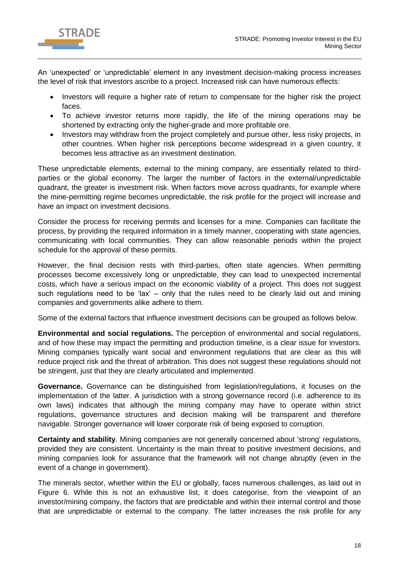

An 'unexpected' or 'unpredictable' element in any investment decision-making process increases the level of risk that investors ascribe to a project. Increased risk can have numerous effects:

- Investors will require a higher rate of return to compensate for the higher risk the project faces.
- To achieve investor returns more rapidly, the life of the mining operations may be shortened by extracting only the higher-grade and more profitable ore.
- Investors may withdraw from the project completely and pursue other, less risky projects, in other countries. When higher risk perceptions become widespread in a given country, it becomes less attractive as an investment destination.

These unpredictable elements, external to the mining company, are essentially related to thirdparties or the global economy. The larger the number of factors in the external/unpredictable quadrant, the greater is investment risk. When factors move across quadrants, for example where the mine-permitting regime becomes unpredictable, the risk profile for the project will increase and have an impact on investment decisions.

Consider the process for receiving permits and licenses for a mine. Companies can facilitate the process, by providing the required information in a timely manner, cooperating with state agencies, communicating with local communities. They can allow reasonable periods within the project schedule for the approval of these permits.

However, the final decision rests with third-parties, often state agencies. When permitting processes become excessively long or unpredictable, they can lead to unexpected incremental costs, which have a serious impact on the economic viability of a project. This does not suggest such regulations need to be 'lax' - only that the rules need to be clearly laid out and mining companies and governments alike adhere to them.

Some of the external factors that influence investment decisions can be grouped as follows below.

**Environmental and social regulations.** The perception of environmental and social regulations, and of how these may impact the permitting and production timeline, is a clear issue for investors. Mining companies typically want social and environment regulations that are clear as this will reduce project risk and the threat of arbitration. This does not suggest these regulations should not be stringent, just that they are clearly articulated and implemented.

**Governance.** Governance can be distinguished from legislation/regulations, it focuses on the implementation of the latter. A jurisdiction with a strong governance record (i.e. adherence to its own laws) indicates that although the mining company may have to operate within strict regulations, governance structures and decision making will be transparent and therefore navigable. Stronger governance will lower corporate risk of being exposed to corruption.

**Certainty and stability**. Mining companies are not generally concerned about 'strong' regulations, provided they are consistent. Uncertainty is the main threat to positive investment decisions, and mining companies look for assurance that the framework will not change abruptly (even in the event of a change in government).

The minerals sector, whether within the EU or globally, faces numerous challenges, as laid out in Figure 6. While this is not an exhaustive list, it does categorise, from the viewpoint of an investor/mining company, the factors that are predictable and within their internal control and those that are unpredictable or external to the company. The latter increases the risk profile for any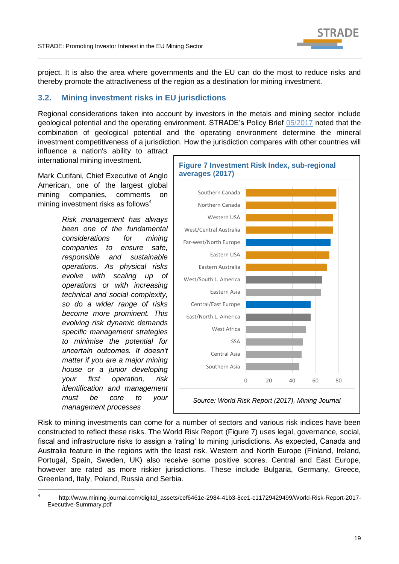

project. It is also the area where governments and the EU can do the most to reduce risks and thereby promote the attractiveness of the region as a destination for mining investment.

# <span id="page-18-0"></span>**3.2. Mining investment risks in EU jurisdictions**

Regional considerations taken into account by investors in the metals and mining sector include geological potential and the operating environment. STRADE's Policy Brief [05/2017](http://stradeproject.eu/fileadmin/user_upload/pdf/STRADE_PB05-2017_D2-5_AttractMinInvestors-FundamentalsInvestDecisions_May2017_FINAL.pdf) noted that the combination of geological potential and the operating environment determine the mineral investment competitiveness of a jurisdiction. How the jurisdiction compares with other countries will

influence a nation's ability to attract international mining investment.

Mark Cutifani, Chief Executive of Anglo American, one of the largest global mining companies, comments on mining investment risks as follows $4$ 

> *Risk management has always been one of the fundamental considerations for mining companies to ensure safe, responsible and sustainable operations. As physical risks evolve with scaling up of operations or with increasing technical and social complexity, so do a wider range of risks become more prominent. This evolving risk dynamic demands specific management strategies to minimise the potential for uncertain outcomes. It doesn't matter if you are a major mining house or a junior developing your first operation, risk identification and management must be core to your management processes*

 $\overline{a}$ 



Risk to mining investments can come for a number of sectors and various risk indices have been constructed to reflect these risks. The World Risk Report (Figure 7) uses legal, governance, social, fiscal and infrastructure risks to assign a 'rating' to mining jurisdictions. As expected, Canada and Australia feature in the regions with the least risk. Western and North Europe (Finland, Ireland, Portugal, Spain, Sweden, UK) also receive some positive scores. Central and East Europe, however are rated as more riskier jurisdictions. These include Bulgaria, Germany, Greece, Greenland, Italy, Poland, Russia and Serbia.

<sup>4</sup> http://www.mining-journal.com/digital\_assets/cef6461e-2984-41b3-8ce1-c11729429499/World-Risk-Report-2017- Executive-Summary.pdf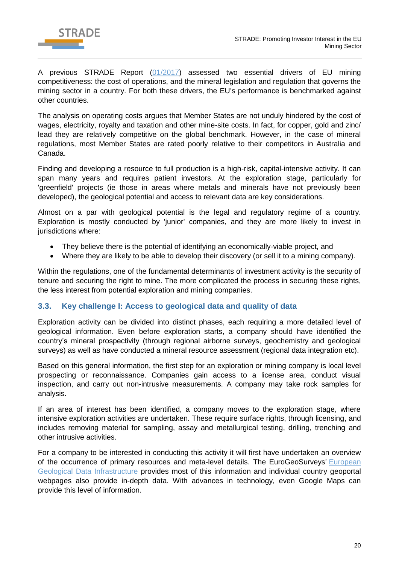

A previous STRADE Report [\(01/2017\)](http://stradeproject.eu/fileadmin/user_upload/pdf/STRADE_Rpt_D2-01_EU-MiningIndustry-Competitiveness_Apr2017_FINAL.pdf) assessed two essential drivers of EU mining competitiveness: the cost of operations, and the mineral legislation and regulation that governs the mining sector in a country. For both these drivers, the EU's performance is benchmarked against other countries.

The analysis on operating costs argues that Member States are not unduly hindered by the cost of wages, electricity, royalty and taxation and other mine-site costs. In fact, for copper, gold and zinc/ lead they are relatively competitive on the global benchmark. However, in the case of mineral regulations, most Member States are rated poorly relative to their competitors in Australia and Canada.

Finding and developing a resource to full production is a high-risk, capital-intensive activity. It can span many years and requires patient investors. At the exploration stage, particularly for 'greenfield' projects (ie those in areas where metals and minerals have not previously been developed), the geological potential and access to relevant data are key considerations.

Almost on a par with geological potential is the legal and regulatory regime of a country. Exploration is mostly conducted by 'junior' companies, and they are more likely to invest in jurisdictions where:

- They believe there is the potential of identifying an economically-viable project, and
- Where they are likely to be able to develop their discovery (or sell it to a mining company).

Within the regulations, one of the fundamental determinants of investment activity is the security of tenure and securing the right to mine. The more complicated the process in securing these rights, the less interest from potential exploration and mining companies.

## <span id="page-19-0"></span>**3.3. Key challenge I: Access to geological data and quality of data**

Exploration activity can be divided into distinct phases, each requiring a more detailed level of geological information. Even before exploration starts, a company should have identified the country's mineral prospectivity (through regional airborne surveys, geochemistry and geological surveys) as well as have conducted a mineral resource assessment (regional data integration etc).

Based on this general information, the first step for an exploration or mining company is local level prospecting or reconnaissance. Companies gain access to a license area, conduct visual inspection, and carry out non-intrusive measurements. A company may take rock samples for analysis.

If an area of interest has been identified, a company moves to the exploration stage, where intensive exploration activities are undertaken. These require surface rights, through licensing, and includes removing material for sampling, assay and metallurgical testing, drilling, trenching and other intrusive activities.

For a company to be interested in conducting this activity it will first have undertaken an overview of the occurrence of primary resources and meta-level details. The [EuroGeoSurveys'](http://www.eurogeosurveys.org/) European [Geological Data Infrastructure](http://www.europe-geology.eu/mineral-resources/mineral-resources-map/critical-raw-materials-map/) provides most of this information and individual country geoportal webpages also provide in-depth data. With advances in technology, even Google Maps can provide this level of information.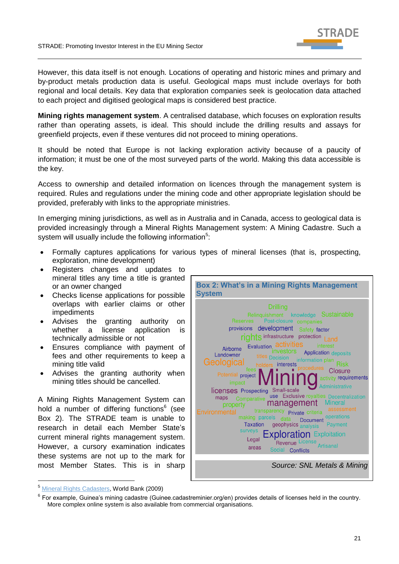

However, this data itself is not enough. Locations of operating and historic mines and primary and by-product metals production data is useful. Geological maps must include overlays for both regional and local details. Key data that exploration companies seek is geolocation data attached to each project and digitised geological maps is considered best practice.

**Mining rights management system**. A centralised database, which focuses on exploration results rather than operating assets, is ideal. This should include the drilling results and assays for greenfield projects, even if these ventures did not proceed to mining operations.

It should be noted that Europe is not lacking exploration activity because of a paucity of information; it must be one of the most surveyed parts of the world. Making this data accessible is the key.

Access to ownership and detailed information on licences through the management system is required. Rules and regulations under the mining code and other appropriate legislation should be provided, preferably with links to the appropriate ministries.

In emerging mining jurisdictions, as well as in Australia and in Canada, access to geological data is provided increasingly through a Mineral Rights Management system: A Mining Cadastre. Such a system will usually include the following information<sup>5</sup>:

- Formally captures applications for various types of mineral licenses (that is, prospecting, exploration, mine development)
- Registers changes and updates to mineral titles any time a title is granted or an owner changed
- Checks license applications for possible overlaps with earlier claims or other impediments
- Advises the granting authority on whether a license application is technically admissible or not
- Ensures compliance with payment of fees and other requirements to keep a mining title valid
- Advises the granting authority when mining titles should be cancelled.

A Mining Rights Management System can hold a number of differing functions<sup>6</sup> (see Box 2). The STRADE team is unable to research in detail each Member State's current mineral rights management system. However, a cursory examination indicates these systems are not up to the mark for most Member States. This is in sharp



<sup>5</sup> [Mineral Rights Cadasters,](https://openknowledge.worldbank.org/bitstream/handle/10986/18399/486090NWP0extr10Box338915B01PUBLIC1.pdf?sequence=1&isAllowed=y) World Bank (2009)

-

 $^6$  For example, Guinea's mining cadastre (Guinee.cadastreminier.org/en) provides details of licenses held in the country. More complex online system is also available from commercial organisations.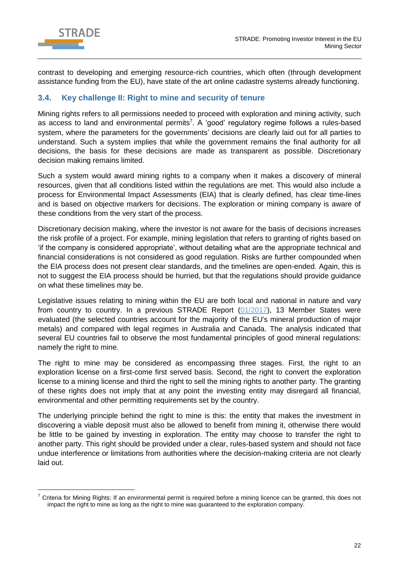

 $\overline{a}$ 

contrast to developing and emerging resource-rich countries, which often (through development assistance funding from the EU), have state of the art online cadastre systems already functioning.

## <span id="page-21-0"></span>**3.4. Key challenge II: Right to mine and security of tenure**

Mining rights refers to all permissions needed to proceed with exploration and mining activity, such as access to land and environmental permits<sup>7</sup>. A 'good' regulatory regime follows a rules-based system, where the parameters for the governments' decisions are clearly laid out for all parties to understand. Such a system implies that while the government remains the final authority for all decisions, the basis for these decisions are made as transparent as possible. Discretionary decision making remains limited.

Such a system would award mining rights to a company when it makes a discovery of mineral resources, given that all conditions listed within the regulations are met. This would also include a process for Environmental Impact Assessments (EIA) that is clearly defined, has clear time-lines and is based on objective markers for decisions. The exploration or mining company is aware of these conditions from the very start of the process.

Discretionary decision making, where the investor is not aware for the basis of decisions increases the risk profile of a project. For example, mining legislation that refers to granting of rights based on 'if the company is considered appropriate', without detailing what are the appropriate technical and financial considerations is not considered as good regulation. Risks are further compounded when the EIA process does not present clear standards, and the timelines are open-ended. Again, this is not to suggest the EIA process should be hurried, but that the regulations should provide guidance on what these timelines may be.

Legislative issues relating to mining within the EU are both local and national in nature and vary from country to country. In a previous STRADE Report [\(01/2017\)](http://stradeproject.eu/fileadmin/user_upload/pdf/STRADE_Rpt_D2-01_EU-MiningIndustry-Competitiveness_Apr2017_FINAL.pdf), 13 Member States were evaluated (the selected countries account for the majority of the EU's mineral production of major metals) and compared with legal regimes in Australia and Canada. The analysis indicated that several EU countries fail to observe the most fundamental principles of good mineral regulations: namely the right to mine.

The right to mine may be considered as encompassing three stages. First, the right to an exploration license on a first-come first served basis. Second, the right to convert the exploration license to a mining license and third the right to sell the mining rights to another party. The granting of these rights does not imply that at any point the investing entity may disregard all financial, environmental and other permitting requirements set by the country.

The underlying principle behind the right to mine is this: the entity that makes the investment in discovering a viable deposit must also be allowed to benefit from mining it, otherwise there would be little to be gained by investing in exploration. The entity may choose to transfer the right to another party. This right should be provided under a clear, rules-based system and should not face undue interference or limitations from authorities where the decision-making criteria are not clearly laid out.

 $7$  Criteria for Mining Rights: If an environmental permit is required before a mining licence can be granted, this does not impact the right to mine as long as the right to mine was guaranteed to the exploration company.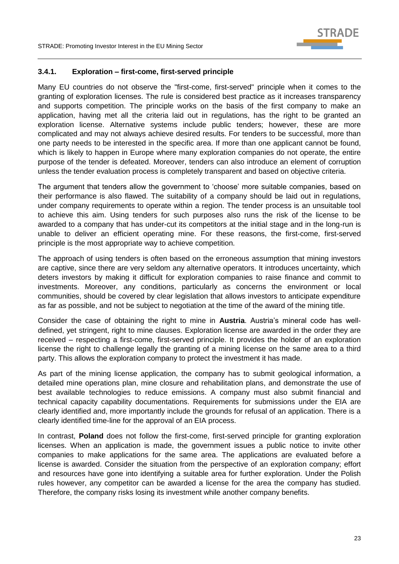

#### <span id="page-22-0"></span>**3.4.1. Exploration – first-come, first-served principle**

Many EU countries do not observe the "first-come, first-served" principle when it comes to the granting of exploration licenses. The rule is considered best practice as it increases transparency and supports competition. The principle works on the basis of the first company to make an application, having met all the criteria laid out in regulations, has the right to be granted an exploration license. Alternative systems include public tenders; however, these are more complicated and may not always achieve desired results. For tenders to be successful, more than one party needs to be interested in the specific area. If more than one applicant cannot be found, which is likely to happen in Europe where many exploration companies do not operate, the entire purpose of the tender is defeated. Moreover, tenders can also introduce an element of corruption unless the tender evaluation process is completely transparent and based on objective criteria.

The argument that tenders allow the government to 'choose' more suitable companies, based on their performance is also flawed. The suitability of a company should be laid out in regulations, under company requirements to operate within a region. The tender process is an unsuitable tool to achieve this aim. Using tenders for such purposes also runs the risk of the license to be awarded to a company that has under-cut its competitors at the initial stage and in the long-run is unable to deliver an efficient operating mine. For these reasons, the first-come, first-served principle is the most appropriate way to achieve competition.

The approach of using tenders is often based on the erroneous assumption that mining investors are captive, since there are very seldom any alternative operators. It introduces uncertainty, which deters investors by making it difficult for exploration companies to raise finance and commit to investments. Moreover, any conditions, particularly as concerns the environment or local communities, should be covered by clear legislation that allows investors to anticipate expenditure as far as possible, and not be subject to negotiation at the time of the award of the mining title.

Consider the case of obtaining the right to mine in **Austria**. Austria's mineral code has welldefined, yet stringent, right to mine clauses. Exploration license are awarded in the order they are received – respecting a first-come, first-served principle. It provides the holder of an exploration license the right to challenge legally the granting of a mining license on the same area to a third party. This allows the exploration company to protect the investment it has made.

As part of the mining license application, the company has to submit geological information, a detailed mine operations plan, mine closure and rehabilitation plans, and demonstrate the use of best available technologies to reduce emissions. A company must also submit financial and technical capacity capability documentations. Requirements for submissions under the EIA are clearly identified and, more importantly include the grounds for refusal of an application. There is a clearly identified time-line for the approval of an EIA process.

In contrast, **Poland** does not follow the first-come, first-served principle for granting exploration licenses. When an application is made, the government issues a public notice to invite other companies to make applications for the same area. The applications are evaluated before a license is awarded. Consider the situation from the perspective of an exploration company; effort and resources have gone into identifying a suitable area for further exploration. Under the Polish rules however, any competitor can be awarded a license for the area the company has studied. Therefore, the company risks losing its investment while another company benefits.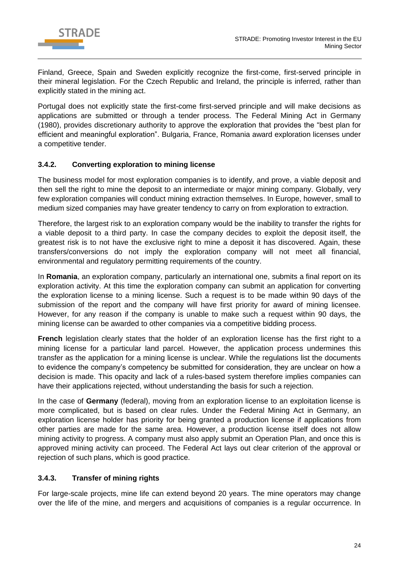

Finland, Greece, Spain and Sweden explicitly recognize the first-come, first-served principle in their mineral legislation. For the Czech Republic and Ireland, the principle is inferred, rather than explicitly stated in the mining act.

Portugal does not explicitly state the first-come first-served principle and will make decisions as applications are submitted or through a tender process. The Federal Mining Act in Germany (1980), provides discretionary authority to approve the exploration that provides the "best plan for efficient and meaningful exploration". Bulgaria, France, Romania award exploration licenses under a competitive tender.

## <span id="page-23-0"></span>**3.4.2. Converting exploration to mining license**

The business model for most exploration companies is to identify, and prove, a viable deposit and then sell the right to mine the deposit to an intermediate or major mining company. Globally, very few exploration companies will conduct mining extraction themselves. In Europe, however, small to medium sized companies may have greater tendency to carry on from exploration to extraction.

Therefore, the largest risk to an exploration company would be the inability to transfer the rights for a viable deposit to a third party. In case the company decides to exploit the deposit itself, the greatest risk is to not have the exclusive right to mine a deposit it has discovered. Again, these transfers/conversions do not imply the exploration company will not meet all financial, environmental and regulatory permitting requirements of the country.

In **Romania**, an exploration company, particularly an international one, submits a final report on its exploration activity. At this time the exploration company can submit an application for converting the exploration license to a mining license. Such a request is to be made within 90 days of the submission of the report and the company will have first priority for award of mining licensee. However, for any reason if the company is unable to make such a request within 90 days, the mining license can be awarded to other companies via a competitive bidding process.

**French** legislation clearly states that the holder of an exploration license has the first right to a mining license for a particular land parcel. However, the application process undermines this transfer as the application for a mining license is unclear. While the regulations list the documents to evidence the company's competency be submitted for consideration, they are unclear on how a decision is made. This opacity and lack of a rules-based system therefore implies companies can have their applications rejected, without understanding the basis for such a rejection.

In the case of **Germany** (federal), moving from an exploration license to an exploitation license is more complicated, but is based on clear rules. Under the Federal Mining Act in Germany, an exploration license holder has priority for being granted a production license if applications from other parties are made for the same area. However, a production license itself does not allow mining activity to progress. A company must also apply submit an Operation Plan, and once this is approved mining activity can proceed. The Federal Act lays out clear criterion of the approval or rejection of such plans, which is good practice.

## <span id="page-23-1"></span>**3.4.3. Transfer of mining rights**

For large-scale projects, mine life can extend beyond 20 years. The mine operators may change over the life of the mine, and mergers and acquisitions of companies is a regular occurrence. In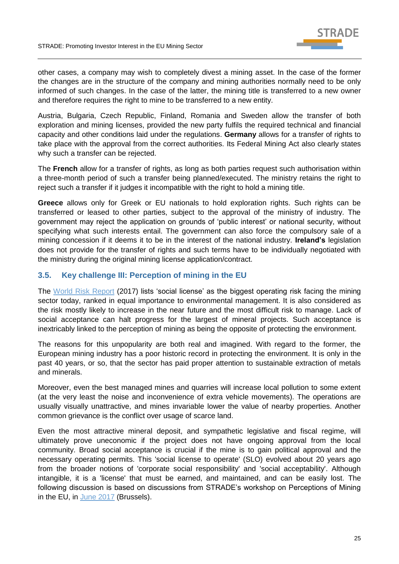

other cases, a company may wish to completely divest a mining asset. In the case of the former the changes are in the structure of the company and mining authorities normally need to be only informed of such changes. In the case of the latter, the mining title is transferred to a new owner and therefore requires the right to mine to be transferred to a new entity.

Austria, Bulgaria, Czech Republic, Finland, Romania and Sweden allow the transfer of both exploration and mining licenses, provided the new party fulfils the required technical and financial capacity and other conditions laid under the regulations. **Germany** allows for a transfer of rights to take place with the approval from the correct authorities. Its Federal Mining Act also clearly states why such a transfer can be rejected.

The **French** allow for a transfer of rights, as long as both parties request such authorisation within a three-month period of such a transfer being planned/executed. The ministry retains the right to reject such a transfer if it judges it incompatible with the right to hold a mining title.

**Greece** allows only for Greek or EU nationals to hold exploration rights. Such rights can be transferred or leased to other parties, subject to the approval of the ministry of industry. The government may reject the application on grounds of 'public interest' or national security, without specifying what such interests entail. The government can also force the compulsory sale of a mining concession if it deems it to be in the interest of the national industry. **Ireland's** legislation does not provide for the transfer of rights and such terms have to be individually negotiated with the ministry during the original mining license application/contract.

# <span id="page-24-0"></span>**3.5. Key challenge III: Perception of mining in the EU**

The [World Risk Report](http://www.mining-journal.com/digital_assets/cef6461e-2984-41b3-8ce1-c11729429499/World-Risk-Report-2017-Executive-Summary.pdf) (2017) lists 'social license' as the biggest operating risk facing the mining sector today, ranked in equal importance to environmental management. It is also considered as the risk mostly likely to increase in the near future and the most difficult risk to manage. Lack of social acceptance can halt progress for the largest of mineral projects. Such acceptance is inextricably linked to the perception of mining as being the opposite of protecting the environment.

The reasons for this unpopularity are both real and imagined. With regard to the former, the European mining industry has a poor historic record in protecting the environment. It is only in the past 40 years, or so, that the sector has paid proper attention to sustainable extraction of metals and minerals.

Moreover, even the best managed mines and quarries will increase local pollution to some extent (at the very least the noise and inconvenience of extra vehicle movements). The operations are usually visually unattractive, and mines invariable lower the value of nearby properties. Another common grievance is the conflict over usage of scarce land.

Even the most attractive mineral deposit, and sympathetic legislative and fiscal regime, will ultimately prove uneconomic if the project does not have ongoing approval from the local community. Broad social acceptance is crucial if the mine is to gain political approval and the necessary operating permits. This 'social license to operate' (SLO) evolved about 20 years ago from the broader notions of 'corporate social responsibility' and 'social acceptability'. Although intangible, it is a 'license' that must be earned, and maintained, and can be easily lost. The following discussion is based on discussions from STRADE's workshop on Perceptions of Mining in the EU, in [June 2017](http://stradeproject.eu/index.php?id=33) (Brussels).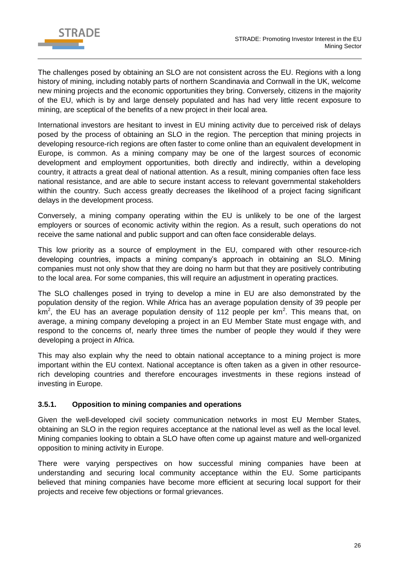

The challenges posed by obtaining an SLO are not consistent across the EU. Regions with a long history of mining, including notably parts of northern Scandinavia and Cornwall in the UK, welcome new mining projects and the economic opportunities they bring. Conversely, citizens in the majority of the EU, which is by and large densely populated and has had very little recent exposure to mining, are sceptical of the benefits of a new project in their local area.

International investors are hesitant to invest in EU mining activity due to perceived risk of delays posed by the process of obtaining an SLO in the region. The perception that mining projects in developing resource-rich regions are often faster to come online than an equivalent development in Europe, is common. As a mining company may be one of the largest sources of economic development and employment opportunities, both directly and indirectly, within a developing country, it attracts a great deal of national attention. As a result, mining companies often face less national resistance, and are able to secure instant access to relevant governmental stakeholders within the country. Such access greatly decreases the likelihood of a project facing significant delays in the development process.

Conversely, a mining company operating within the EU is unlikely to be one of the largest employers or sources of economic activity within the region. As a result, such operations do not receive the same national and public support and can often face considerable delays.

This low priority as a source of employment in the EU, compared with other resource-rich developing countries, impacts a mining company's approach in obtaining an SLO. Mining companies must not only show that they are doing no harm but that they are positively contributing to the local area. For some companies, this will require an adjustment in operating practices.

The SLO challenges posed in trying to develop a mine in EU are also demonstrated by the population density of the region. While Africa has an average population density of 39 people per km<sup>2</sup>, the EU has an average population density of 112 people per km<sup>2</sup>. This means that, on average, a mining company developing a project in an EU Member State must engage with, and respond to the concerns of, nearly three times the number of people they would if they were developing a project in Africa.

This may also explain why the need to obtain national acceptance to a mining project is more important within the EU context. National acceptance is often taken as a given in other resourcerich developing countries and therefore encourages investments in these regions instead of investing in Europe.

## <span id="page-25-0"></span>**3.5.1. Opposition to mining companies and operations**

Given the well-developed civil society communication networks in most EU Member States, obtaining an SLO in the region requires acceptance at the national level as well as the local level. Mining companies looking to obtain a SLO have often come up against mature and well-organized opposition to mining activity in Europe.

There were varying perspectives on how successful mining companies have been at understanding and securing local community acceptance within the EU. Some participants believed that mining companies have become more efficient at securing local support for their projects and receive few objections or formal grievances.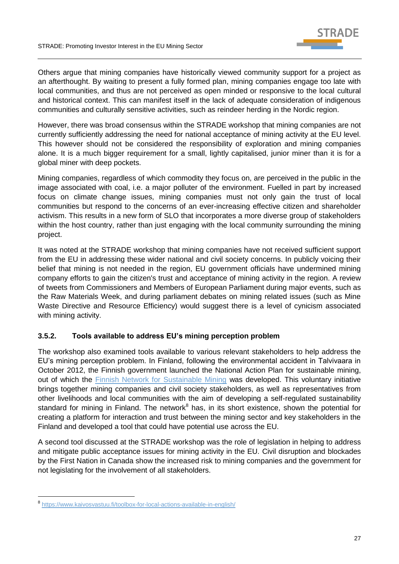

Others argue that mining companies have historically viewed community support for a project as an afterthought. By waiting to present a fully formed plan, mining companies engage too late with local communities, and thus are not perceived as open minded or responsive to the local cultural and historical context. This can manifest itself in the lack of adequate consideration of indigenous communities and culturally sensitive activities, such as reindeer herding in the Nordic region.

However, there was broad consensus within the STRADE workshop that mining companies are not currently sufficiently addressing the need for national acceptance of mining activity at the EU level. This however should not be considered the responsibility of exploration and mining companies alone. It is a much bigger requirement for a small, lightly capitalised, junior miner than it is for a global miner with deep pockets.

Mining companies, regardless of which commodity they focus on, are perceived in the public in the image associated with coal, i.e. a major polluter of the environment. Fuelled in part by increased focus on climate change issues, mining companies must not only gain the trust of local communities but respond to the concerns of an ever-increasing effective citizen and shareholder activism. This results in a new form of SLO that incorporates a more diverse group of stakeholders within the host country, rather than just engaging with the local community surrounding the mining project.

It was noted at the STRADE workshop that mining companies have not received sufficient support from the EU in addressing these wider national and civil society concerns. In publicly voicing their belief that mining is not needed in the region, EU government officials have undermined mining company efforts to gain the citizen's trust and acceptance of mining activity in the region. A review of tweets from Commissioners and Members of European Parliament during major events, such as the Raw Materials Week, and during parliament debates on mining related issues (such as Mine Waste Directive and Resource Efficiency) would suggest there is a level of cynicism associated with mining activity.

#### <span id="page-26-0"></span>**3.5.2. Tools available to address EU's mining perception problem**

The workshop also examined tools available to various relevant stakeholders to help address the EU's mining perception problem. In Finland, following the environmental accident in Talvivaara in October 2012, the Finnish government launched the National Action Plan for sustainable mining, out of which the [Finnish Network for Sustainable Mining](https://www.sitra.fi/en/topics/responsible-mining/) was developed. This voluntary initiative brings together mining companies and civil society stakeholders, as well as representatives from other livelihoods and local communities with the aim of developing a self-regulated sustainability standard for mining in Finland. The network<sup>8</sup> has, in its short existence, shown the potential for creating a platform for interaction and trust between the mining sector and key stakeholders in the Finland and developed a tool that could have potential use across the EU.

A second tool discussed at the STRADE workshop was the role of legislation in helping to address and mitigate public acceptance issues for mining activity in the EU. Civil disruption and blockades by the First Nation in Canada show the increased risk to mining companies and the government for not legislating for the involvement of all stakeholders.

-

<sup>8</sup> <https://www.kaivosvastuu.fi/toolbox-for-local-actions-available-in-english/>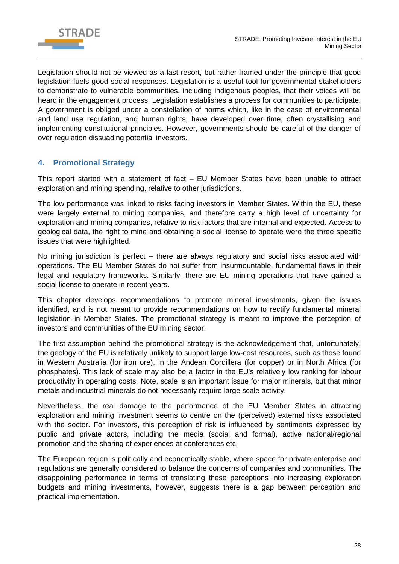

Legislation should not be viewed as a last resort, but rather framed under the principle that good legislation fuels good social responses. Legislation is a useful tool for governmental stakeholders to demonstrate to vulnerable communities, including indigenous peoples, that their voices will be heard in the engagement process. Legislation establishes a process for communities to participate. A government is obliged under a constellation of norms which, like in the case of environmental and land use regulation, and human rights, have developed over time, often crystallising and implementing constitutional principles. However, governments should be careful of the danger of over regulation dissuading potential investors.

# <span id="page-27-0"></span>**4. Promotional Strategy**

This report started with a statement of fact – EU Member States have been unable to attract exploration and mining spending, relative to other jurisdictions.

The low performance was linked to risks facing investors in Member States. Within the EU, these were largely external to mining companies, and therefore carry a high level of uncertainty for exploration and mining companies, relative to risk factors that are internal and expected. Access to geological data, the right to mine and obtaining a social license to operate were the three specific issues that were highlighted.

No mining jurisdiction is perfect – there are always regulatory and social risks associated with operations. The EU Member States do not suffer from insurmountable, fundamental flaws in their legal and regulatory frameworks. Similarly, there are EU mining operations that have gained a social license to operate in recent years.

This chapter develops recommendations to promote mineral investments, given the issues identified, and is not meant to provide recommendations on how to rectify fundamental mineral legislation in Member States. The promotional strategy is meant to improve the perception of investors and communities of the EU mining sector.

The first assumption behind the promotional strategy is the acknowledgement that, unfortunately, the geology of the EU is relatively unlikely to support large low-cost resources, such as those found in Western Australia (for iron ore), in the Andean Cordillera (for copper) or in North Africa (for phosphates). This lack of scale may also be a factor in the EU's relatively low ranking for labour productivity in operating costs. Note, scale is an important issue for major minerals, but that minor metals and industrial minerals do not necessarily require large scale activity.

Nevertheless, the real damage to the performance of the EU Member States in attracting exploration and mining investment seems to centre on the (perceived) external risks associated with the sector. For investors, this perception of risk is influenced by sentiments expressed by public and private actors, including the media (social and formal), active national/regional promotion and the sharing of experiences at conferences etc.

The European region is politically and economically stable, where space for private enterprise and regulations are generally considered to balance the concerns of companies and communities. The disappointing performance in terms of translating these perceptions into increasing exploration budgets and mining investments, however, suggests there is a gap between perception and practical implementation.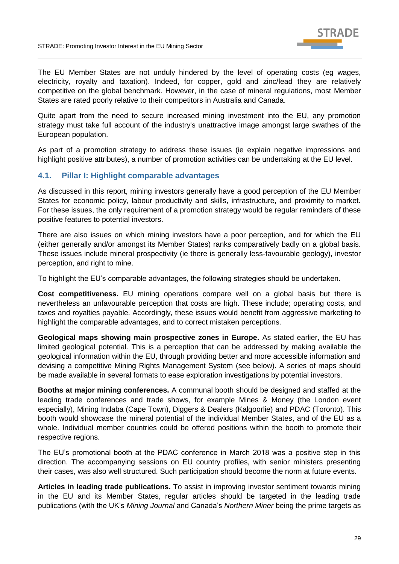

The EU Member States are not unduly hindered by the level of operating costs (eg wages, electricity, royalty and taxation). Indeed, for copper, gold and zinc/lead they are relatively competitive on the global benchmark. However, in the case of mineral regulations, most Member States are rated poorly relative to their competitors in Australia and Canada.

Quite apart from the need to secure increased mining investment into the EU, any promotion strategy must take full account of the industry's unattractive image amongst large swathes of the European population.

As part of a promotion strategy to address these issues (ie explain negative impressions and highlight positive attributes), a number of promotion activities can be undertaking at the EU level.

## <span id="page-28-0"></span>**4.1. Pillar I: Highlight comparable advantages**

As discussed in this report, mining investors generally have a good perception of the EU Member States for economic policy, labour productivity and skills, infrastructure, and proximity to market. For these issues, the only requirement of a promotion strategy would be regular reminders of these positive features to potential investors.

There are also issues on which mining investors have a poor perception, and for which the EU (either generally and/or amongst its Member States) ranks comparatively badly on a global basis. These issues include mineral prospectivity (ie there is generally less-favourable geology), investor perception, and right to mine.

To highlight the EU's comparable advantages, the following strategies should be undertaken.

**Cost competitiveness.** EU mining operations compare well on a global basis but there is nevertheless an unfavourable perception that costs are high. These include; operating costs, and taxes and royalties payable. Accordingly, these issues would benefit from aggressive marketing to highlight the comparable advantages, and to correct mistaken perceptions.

**Geological maps showing main prospective zones in Europe.** As stated earlier, the EU has limited geological potential. This is a perception that can be addressed by making available the geological information within the EU, through providing better and more accessible information and devising a competitive Mining Rights Management System (see below). A series of maps should be made available in several formats to ease exploration investigations by potential investors.

**Booths at major mining conferences.** A communal booth should be designed and staffed at the leading trade conferences and trade shows, for example Mines & Money (the London event especially), Mining Indaba (Cape Town), Diggers & Dealers (Kalgoorlie) and PDAC (Toronto). This booth would showcase the mineral potential of the individual Member States, and of the EU as a whole. Individual member countries could be offered positions within the booth to promote their respective regions.

The EU's promotional booth at the PDAC conference in March 2018 was a positive step in this direction. The accompanying sessions on EU country profiles, with senior ministers presenting their cases, was also well structured. Such participation should become the norm at future events.

**Articles in leading trade publications.** To assist in improving investor sentiment towards mining in the EU and its Member States, regular articles should be targeted in the leading trade publications (with the UK's *Mining Journal* and Canada's *Northern Miner* being the prime targets as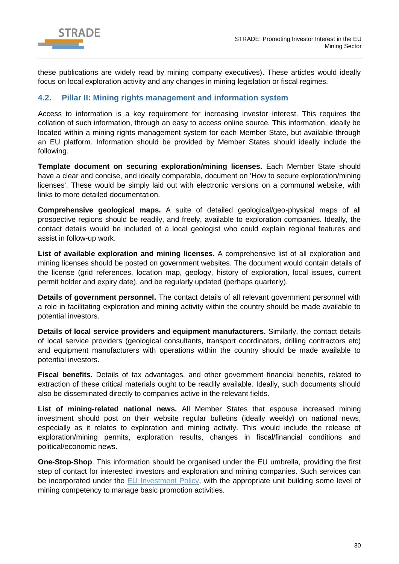

these publications are widely read by mining company executives). These articles would ideally focus on local exploration activity and any changes in mining legislation or fiscal regimes.

## <span id="page-29-0"></span>**4.2. Pillar II: Mining rights management and information system**

Access to information is a key requirement for increasing investor interest. This requires the collation of such information, through an easy to access online source. This information, ideally be located within a mining rights management system for each Member State, but available through an EU platform. Information should be provided by Member States should ideally include the following.

**Template document on securing exploration/mining licenses.** Each Member State should have a clear and concise, and ideally comparable, document on 'How to secure exploration/mining licenses'. These would be simply laid out with electronic versions on a communal website, with links to more detailed documentation.

**Comprehensive geological maps.** A suite of detailed geological/geo-physical maps of all prospective regions should be readily, and freely, available to exploration companies. Ideally, the contact details would be included of a local geologist who could explain regional features and assist in follow-up work.

**List of available exploration and mining licenses.** A comprehensive list of all exploration and mining licenses should be posted on government websites. The document would contain details of the license (grid references, location map, geology, history of exploration, local issues, current permit holder and expiry date), and be regularly updated (perhaps quarterly).

**Details of government personnel.** The contact details of all relevant government personnel with a role in facilitating exploration and mining activity within the country should be made available to potential investors.

**Details of local service providers and equipment manufacturers.** Similarly, the contact details of local service providers (geological consultants, transport coordinators, drilling contractors etc) and equipment manufacturers with operations within the country should be made available to potential investors.

**Fiscal benefits.** Details of tax advantages, and other government financial benefits, related to extraction of these critical materials ought to be readily available. Ideally, such documents should also be disseminated directly to companies active in the relevant fields.

**List of mining-related national news.** All Member States that espouse increased mining investment should post on their website regular bulletins (ideally weekly) on national news, especially as it relates to exploration and mining activity. This would include the release of exploration/mining permits, exploration results, changes in fiscal/financial conditions and political/economic news.

**One-Stop-Shop**. This information should be organised under the EU umbrella, providing the first step of contact for interested investors and exploration and mining companies. Such services can be incorporated under the [EU Investment Policy,](http://ec.europa.eu/trade/policy/accessing-markets/investment/) with the appropriate unit building some level of mining competency to manage basic promotion activities.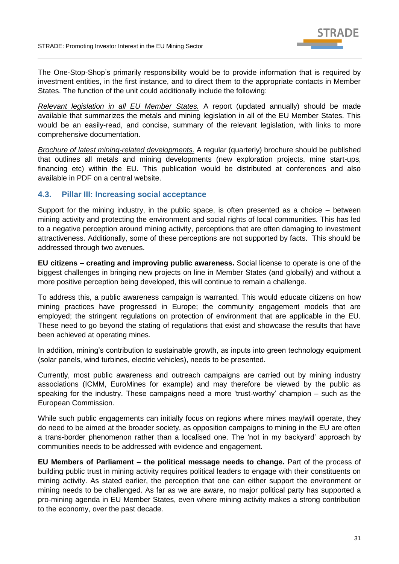

The One-Stop-Shop's primarily responsibility would be to provide information that is required by investment entities, in the first instance, and to direct them to the appropriate contacts in Member States. The function of the unit could additionally include the following:

*Relevant legislation in all EU Member States.* A report (updated annually) should be made available that summarizes the metals and mining legislation in all of the EU Member States. This would be an easily-read, and concise, summary of the relevant legislation, with links to more comprehensive documentation.

*Brochure of latest mining-related developments.* A regular (quarterly) brochure should be published that outlines all metals and mining developments (new exploration projects, mine start-ups, financing etc) within the EU. This publication would be distributed at conferences and also available in PDF on a central website.

## <span id="page-30-0"></span>**4.3. Pillar III: Increasing social acceptance**

Support for the mining industry, in the public space, is often presented as a choice – between mining activity and protecting the environment and social rights of local communities. This has led to a negative perception around mining activity, perceptions that are often damaging to investment attractiveness. Additionally, some of these perceptions are not supported by facts. This should be addressed through two avenues.

**EU citizens – creating and improving public awareness.** Social license to operate is one of the biggest challenges in bringing new projects on line in Member States (and globally) and without a more positive perception being developed, this will continue to remain a challenge.

To address this, a public awareness campaign is warranted. This would educate citizens on how mining practices have progressed in Europe; the community engagement models that are employed; the stringent regulations on protection of environment that are applicable in the EU. These need to go beyond the stating of regulations that exist and showcase the results that have been achieved at operating mines.

In addition, mining's contribution to sustainable growth, as inputs into green technology equipment (solar panels, wind turbines, electric vehicles), needs to be presented.

Currently, most public awareness and outreach campaigns are carried out by mining industry associations (ICMM, EuroMines for example) and may therefore be viewed by the public as speaking for the industry. These campaigns need a more 'trust-worthy' champion – such as the European Commission.

While such public engagements can initially focus on regions where mines may/will operate, they do need to be aimed at the broader society, as opposition campaigns to mining in the EU are often a trans-border phenomenon rather than a localised one. The 'not in my backyard' approach by communities needs to be addressed with evidence and engagement.

**EU Members of Parliament – the political message needs to change.** Part of the process of building public trust in mining activity requires political leaders to engage with their constituents on mining activity. As stated earlier, the perception that one can either support the environment or mining needs to be challenged. As far as we are aware, no major political party has supported a pro-mining agenda in EU Member States, even where mining activity makes a strong contribution to the economy, over the past decade.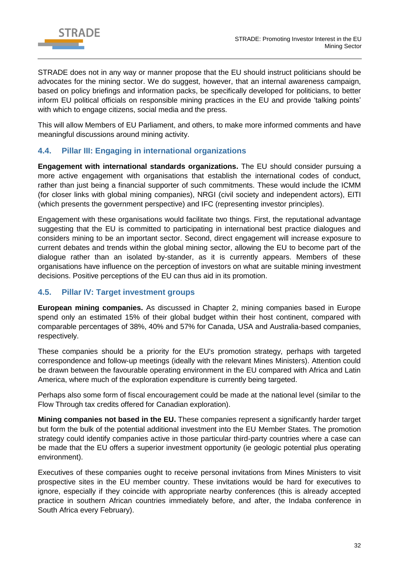

STRADE does not in any way or manner propose that the EU should instruct politicians should be advocates for the mining sector. We do suggest, however, that an internal awareness campaign, based on policy briefings and information packs, be specifically developed for politicians, to better inform EU political officials on responsible mining practices in the EU and provide 'talking points' with which to engage citizens, social media and the press.

This will allow Members of EU Parliament, and others, to make more informed comments and have meaningful discussions around mining activity.

## <span id="page-31-0"></span>**4.4. Pillar III: Engaging in international organizations**

**Engagement with international standards organizations.** The EU should consider pursuing a more active engagement with organisations that establish the international codes of conduct, rather than just being a financial supporter of such commitments. These would include the ICMM (for closer links with global mining companies), NRGI (civil society and independent actors), EITI (which presents the government perspective) and IFC (representing investor principles).

Engagement with these organisations would facilitate two things. First, the reputational advantage suggesting that the EU is committed to participating in international best practice dialogues and considers mining to be an important sector. Second, direct engagement will increase exposure to current debates and trends within the global mining sector, allowing the EU to become part of the dialogue rather than an isolated by-stander, as it is currently appears. Members of these organisations have influence on the perception of investors on what are suitable mining investment decisions. Positive perceptions of the EU can thus aid in its promotion.

## <span id="page-31-1"></span>**4.5. Pillar IV: Target investment groups**

**European mining companies.** As discussed in Chapter 2, mining companies based in Europe spend only an estimated 15% of their global budget within their host continent, compared with comparable percentages of 38%, 40% and 57% for Canada, USA and Australia-based companies, respectively.

These companies should be a priority for the EU's promotion strategy, perhaps with targeted correspondence and follow-up meetings (ideally with the relevant Mines Ministers). Attention could be drawn between the favourable operating environment in the EU compared with Africa and Latin America, where much of the exploration expenditure is currently being targeted.

Perhaps also some form of fiscal encouragement could be made at the national level (similar to the Flow Through tax credits offered for Canadian exploration).

**Mining companies not based in the EU.** These companies represent a significantly harder target but form the bulk of the potential additional investment into the EU Member States. The promotion strategy could identify companies active in those particular third-party countries where a case can be made that the EU offers a superior investment opportunity (ie geologic potential plus operating environment).

Executives of these companies ought to receive personal invitations from Mines Ministers to visit prospective sites in the EU member country. These invitations would be hard for executives to ignore, especially if they coincide with appropriate nearby conferences (this is already accepted practice in southern African countries immediately before, and after, the Indaba conference in South Africa every February).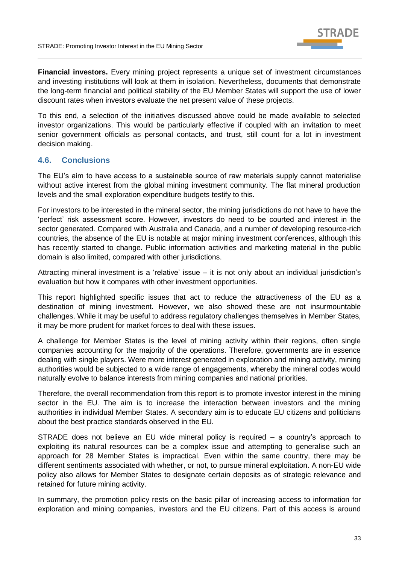

**Financial investors.** Every mining project represents a unique set of investment circumstances and investing institutions will look at them in isolation. Nevertheless, documents that demonstrate the long-term financial and political stability of the EU Member States will support the use of lower discount rates when investors evaluate the net present value of these projects.

To this end, a selection of the initiatives discussed above could be made available to selected investor organizations. This would be particularly effective if coupled with an invitation to meet senior government officials as personal contacts, and trust, still count for a lot in investment decision making.

## <span id="page-32-0"></span>**4.6. Conclusions**

The EU's aim to have access to a sustainable source of raw materials supply cannot materialise without active interest from the global mining investment community. The flat mineral production levels and the small exploration expenditure budgets testify to this.

For investors to be interested in the mineral sector, the mining jurisdictions do not have to have the 'perfect' risk assessment score. However, investors do need to be courted and interest in the sector generated. Compared with Australia and Canada, and a number of developing resource-rich countries, the absence of the EU is notable at major mining investment conferences, although this has recently started to change. Public information activities and marketing material in the public domain is also limited, compared with other jurisdictions.

Attracting mineral investment is a 'relative' issue – it is not only about an individual jurisdiction's evaluation but how it compares with other investment opportunities.

This report highlighted specific issues that act to reduce the attractiveness of the EU as a destination of mining investment. However, we also showed these are not insurmountable challenges. While it may be useful to address regulatory challenges themselves in Member States, it may be more prudent for market forces to deal with these issues.

A challenge for Member States is the level of mining activity within their regions, often single companies accounting for the majority of the operations. Therefore, governments are in essence dealing with single players. Were more interest generated in exploration and mining activity, mining authorities would be subjected to a wide range of engagements, whereby the mineral codes would naturally evolve to balance interests from mining companies and national priorities.

Therefore, the overall recommendation from this report is to promote investor interest in the mining sector in the EU. The aim is to increase the interaction between investors and the mining authorities in individual Member States. A secondary aim is to educate EU citizens and politicians about the best practice standards observed in the EU.

STRADE does not believe an EU wide mineral policy is required – a country's approach to exploiting its natural resources can be a complex issue and attempting to generalise such an approach for 28 Member States is impractical. Even within the same country, there may be different sentiments associated with whether, or not, to pursue mineral exploitation. A non-EU wide policy also allows for Member States to designate certain deposits as of strategic relevance and retained for future mining activity.

In summary, the promotion policy rests on the basic pillar of increasing access to information for exploration and mining companies, investors and the EU citizens. Part of this access is around